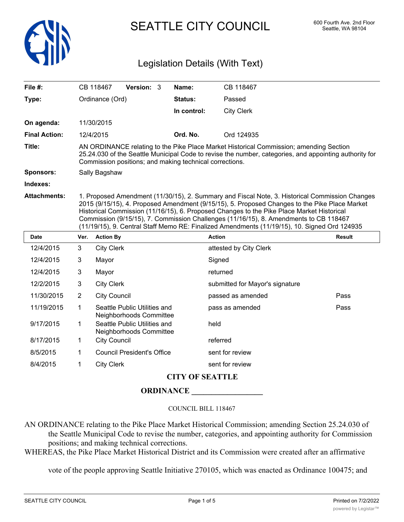

SEATTLE CITY COUNCIL 600 Fourth Ave. 2nd Floor

# Legislation Details (With Text)

| File $#$ :           |                                                                                                                                                                                                                                                                                                                                                                                                                                                                                       | CB 118467                                                                                                                                                                                                                                                   | Version: 3                                              |  | Name:       | CB 118467                       |               |  |
|----------------------|---------------------------------------------------------------------------------------------------------------------------------------------------------------------------------------------------------------------------------------------------------------------------------------------------------------------------------------------------------------------------------------------------------------------------------------------------------------------------------------|-------------------------------------------------------------------------------------------------------------------------------------------------------------------------------------------------------------------------------------------------------------|---------------------------------------------------------|--|-------------|---------------------------------|---------------|--|
| Type:                |                                                                                                                                                                                                                                                                                                                                                                                                                                                                                       | Ordinance (Ord)                                                                                                                                                                                                                                             |                                                         |  | Status:     | Passed                          |               |  |
|                      |                                                                                                                                                                                                                                                                                                                                                                                                                                                                                       |                                                                                                                                                                                                                                                             |                                                         |  | In control: | <b>City Clerk</b>               |               |  |
| On agenda:           |                                                                                                                                                                                                                                                                                                                                                                                                                                                                                       | 11/30/2015                                                                                                                                                                                                                                                  |                                                         |  |             |                                 |               |  |
| <b>Final Action:</b> |                                                                                                                                                                                                                                                                                                                                                                                                                                                                                       | 12/4/2015                                                                                                                                                                                                                                                   |                                                         |  | Ord. No.    | Ord 124935                      |               |  |
| Title:               |                                                                                                                                                                                                                                                                                                                                                                                                                                                                                       | AN ORDINANCE relating to the Pike Place Market Historical Commission; amending Section<br>25.24.030 of the Seattle Municipal Code to revise the number, categories, and appointing authority for<br>Commission positions; and making technical corrections. |                                                         |  |             |                                 |               |  |
| <b>Sponsors:</b>     | Sally Bagshaw                                                                                                                                                                                                                                                                                                                                                                                                                                                                         |                                                                                                                                                                                                                                                             |                                                         |  |             |                                 |               |  |
| Indexes:             |                                                                                                                                                                                                                                                                                                                                                                                                                                                                                       |                                                                                                                                                                                                                                                             |                                                         |  |             |                                 |               |  |
| <b>Attachments:</b>  | 1. Proposed Amendment (11/30/15), 2. Summary and Fiscal Note, 3. Historical Commission Changes<br>2015 (9/15/15), 4. Proposed Amendment (9/15/15), 5. Proposed Changes to the Pike Place Market<br>Historical Commission (11/16/15), 6. Proposed Changes to the Pike Place Market Historical<br>Commission (9/15/15), 7. Commission Challenges (11/16/15), 8. Amendments to CB 118467<br>(11/19/15), 9. Central Staff Memo RE: Finalized Amendments (11/19/15), 10. Signed Ord 124935 |                                                                                                                                                                                                                                                             |                                                         |  |             |                                 |               |  |
| <b>Date</b>          | Ver.                                                                                                                                                                                                                                                                                                                                                                                                                                                                                  | <b>Action By</b>                                                                                                                                                                                                                                            |                                                         |  |             | <b>Action</b>                   | <b>Result</b> |  |
| 12/4/2015            | 3                                                                                                                                                                                                                                                                                                                                                                                                                                                                                     | <b>City Clerk</b>                                                                                                                                                                                                                                           |                                                         |  |             | attested by City Clerk          |               |  |
| 12/4/2015            | 3                                                                                                                                                                                                                                                                                                                                                                                                                                                                                     | Mayor                                                                                                                                                                                                                                                       |                                                         |  |             | Signed                          |               |  |
| 12/4/2015            | 3                                                                                                                                                                                                                                                                                                                                                                                                                                                                                     | Mayor                                                                                                                                                                                                                                                       |                                                         |  |             | returned                        |               |  |
| 12/2/2015            | 3                                                                                                                                                                                                                                                                                                                                                                                                                                                                                     | <b>City Clerk</b>                                                                                                                                                                                                                                           |                                                         |  |             | submitted for Mayor's signature |               |  |
| 11/30/2015           | $\overline{2}$                                                                                                                                                                                                                                                                                                                                                                                                                                                                        | <b>City Council</b>                                                                                                                                                                                                                                         |                                                         |  |             | passed as amended               | Pass          |  |
| 11/19/2015           | $\mathbf{1}$                                                                                                                                                                                                                                                                                                                                                                                                                                                                          |                                                                                                                                                                                                                                                             | Seattle Public Utilities and<br>Neighborhoods Committee |  |             | pass as amended                 | Pass          |  |
| 9/17/2015            | $\mathbf 1$                                                                                                                                                                                                                                                                                                                                                                                                                                                                           |                                                                                                                                                                                                                                                             | Seattle Public Utilities and<br>Neighborhoods Committee |  |             | held                            |               |  |
| 8/17/2015            | 1                                                                                                                                                                                                                                                                                                                                                                                                                                                                                     | <b>City Council</b>                                                                                                                                                                                                                                         |                                                         |  |             | referred                        |               |  |
| 8/5/2015             | 1                                                                                                                                                                                                                                                                                                                                                                                                                                                                                     |                                                                                                                                                                                                                                                             | <b>Council President's Office</b>                       |  |             | sent for review                 |               |  |
| 8/4/2015             | 1                                                                                                                                                                                                                                                                                                                                                                                                                                                                                     | <b>City Clerk</b>                                                                                                                                                                                                                                           |                                                         |  |             | sent for review                 |               |  |
|                      |                                                                                                                                                                                                                                                                                                                                                                                                                                                                                       |                                                                                                                                                                                                                                                             |                                                         |  |             |                                 |               |  |

## **CITY OF SEATTLE**

**ORDINANCE \_\_\_\_\_\_\_\_\_\_\_\_\_\_\_\_\_\_**

#### COUNCIL BILL 118467

AN ORDINANCE relating to the Pike Place Market Historical Commission; amending Section 25.24.030 of the Seattle Municipal Code to revise the number, categories, and appointing authority for Commission positions; and making technical corrections.

WHEREAS, the Pike Place Market Historical District and its Commission were created after an affirmative

vote of the people approving Seattle Initiative 270105, which was enacted as Ordinance 100475; and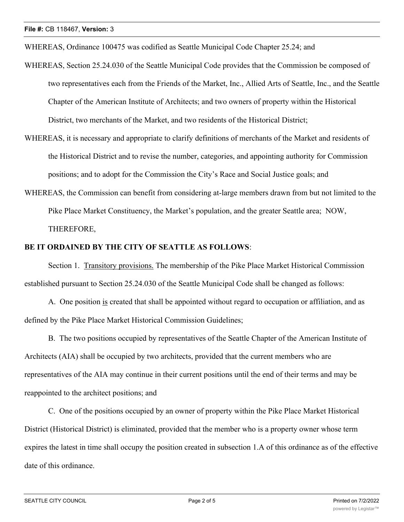WHEREAS, Ordinance 100475 was codified as Seattle Municipal Code Chapter 25.24; and

- WHEREAS, Section 25.24.030 of the Seattle Municipal Code provides that the Commission be composed of two representatives each from the Friends of the Market, Inc., Allied Arts of Seattle, Inc., and the Seattle Chapter of the American Institute of Architects; and two owners of property within the Historical District, two merchants of the Market, and two residents of the Historical District;
- WHEREAS, it is necessary and appropriate to clarify definitions of merchants of the Market and residents of the Historical District and to revise the number, categories, and appointing authority for Commission positions; and to adopt for the Commission the City's Race and Social Justice goals; and
- WHEREAS, the Commission can benefit from considering at-large members drawn from but not limited to the Pike Place Market Constituency, the Market's population, and the greater Seattle area; NOW, THEREFORE,

### **BE IT ORDAINED BY THE CITY OF SEATTLE AS FOLLOWS**:

Section 1. Transitory provisions. The membership of the Pike Place Market Historical Commission established pursuant to Section 25.24.030 of the Seattle Municipal Code shall be changed as follows:

A. One position is created that shall be appointed without regard to occupation or affiliation, and as defined by the Pike Place Market Historical Commission Guidelines;

B. The two positions occupied by representatives of the Seattle Chapter of the American Institute of Architects (AIA) shall be occupied by two architects, provided that the current members who are representatives of the AIA may continue in their current positions until the end of their terms and may be reappointed to the architect positions; and

C. One of the positions occupied by an owner of property within the Pike Place Market Historical District (Historical District) is eliminated, provided that the member who is a property owner whose term expires the latest in time shall occupy the position created in subsection 1.A of this ordinance as of the effective date of this ordinance.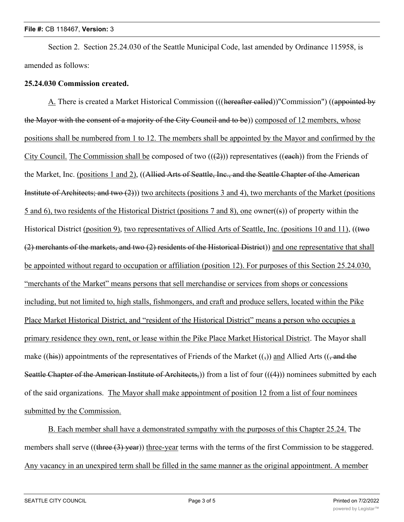Section 2. Section 25.24.030 of the Seattle Municipal Code, last amended by Ordinance 115958, is amended as follows:

### **25.24.030 Commission created.**

A. There is created a Market Historical Commission (((hereafter called))"Commission") ((appointed by the Mayor with the consent of a majority of the City Council and to be)) composed of 12 members, whose positions shall be numbered from 1 to 12. The members shall be appointed by the Mayor and confirmed by the City Council. The Commission shall be composed of two  $((2))$  representatives  $((each))$  from the Friends of the Market, Inc. (positions 1 and 2), ((Allied Arts of Seattle, Inc., and the Seattle Chapter of the American Institute of Architects; and two (2))) two architects (positions 3 and 4), two merchants of the Market (positions 5 and 6), two residents of the Historical District (positions 7 and 8), one owner((s)) of property within the Historical District (position 9), two representatives of Allied Arts of Seattle, Inc. (positions 10 and 11), ((two (2) merchants of the markets, and two (2) residents of the Historical District)) and one representative that shall be appointed without regard to occupation or affiliation (position 12). For purposes of this Section 25.24.030, "merchants of the Market" means persons that sell merchandise or services from shops or concessions including, but not limited to, high stalls, fishmongers, and craft and produce sellers, located within the Pike Place Market Historical District, and "resident of the Historical District" means a person who occupies a primary residence they own, rent, or lease within the Pike Place Market Historical District. The Mayor shall make ((his)) appointments of the representatives of Friends of the Market  $((\tau))$  and Allied Arts (( $\tau$  and the Seattle Chapter of the American Institute of Architects,)) from a list of four (((4))) nominees submitted by each of the said organizations. The Mayor shall make appointment of position 12 from a list of four nominees submitted by the Commission.

B. Each member shall have a demonstrated sympathy with the purposes of this Chapter 25.24. The members shall serve ((three (3) year)) three-year terms with the terms of the first Commission to be staggered. Any vacancy in an unexpired term shall be filled in the same manner as the original appointment. A member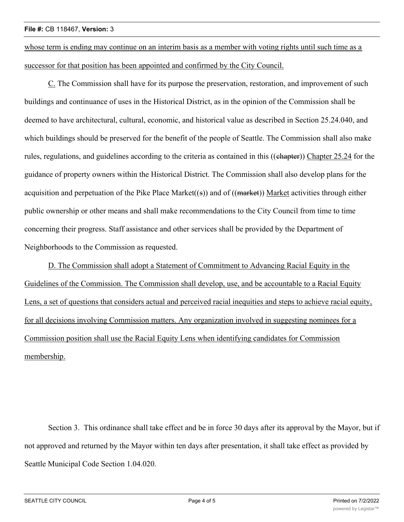whose term is ending may continue on an interim basis as a member with voting rights until such time as a successor for that position has been appointed and confirmed by the City Council.

C. The Commission shall have for its purpose the preservation, restoration, and improvement of such buildings and continuance of uses in the Historical District, as in the opinion of the Commission shall be deemed to have architectural, cultural, economic, and historical value as described in Section 25.24.040, and which buildings should be preserved for the benefit of the people of Seattle. The Commission shall also make rules, regulations, and guidelines according to the criteria as contained in this ((chapter)) Chapter 25.24 for the guidance of property owners within the Historical District. The Commission shall also develop plans for the acquisition and perpetuation of the Pike Place Market((s)) and of  $((\text{market}))$  Market activities through either public ownership or other means and shall make recommendations to the City Council from time to time concerning their progress. Staff assistance and other services shall be provided by the Department of Neighborhoods to the Commission as requested.

D. The Commission shall adopt a Statement of Commitment to Advancing Racial Equity in the Guidelines of the Commission. The Commission shall develop, use, and be accountable to a Racial Equity Lens, a set of questions that considers actual and perceived racial inequities and steps to achieve racial equity, for all decisions involving Commission matters. Any organization involved in suggesting nominees for a Commission position shall use the Racial Equity Lens when identifying candidates for Commission membership.

Section 3. This ordinance shall take effect and be in force 30 days after its approval by the Mayor, but if not approved and returned by the Mayor within ten days after presentation, it shall take effect as provided by Seattle Municipal Code Section 1.04.020.